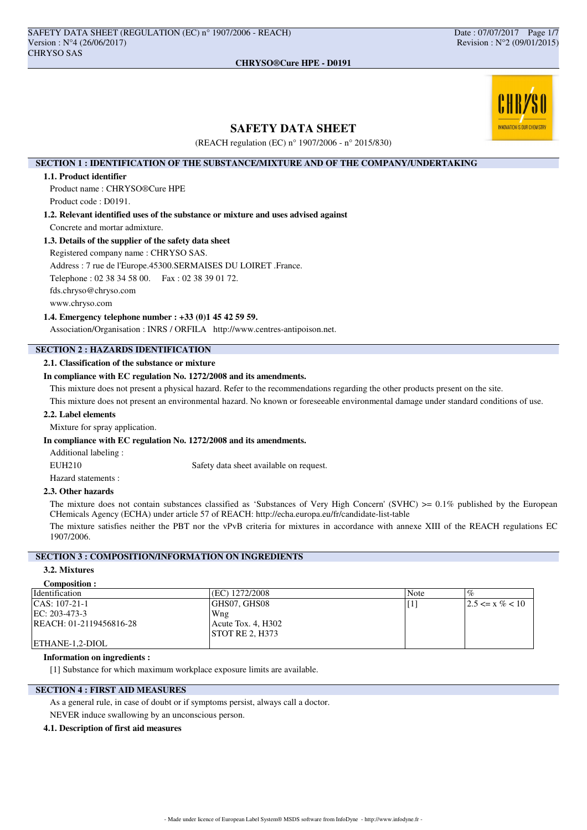

# **SAFETY DATA SHEET**

(REACH regulation (EC) n° 1907/2006 - n° 2015/830)

## **SECTION 1 : IDENTIFICATION OF THE SUBSTANCE/MIXTURE AND OF THE COMPANY/UNDERTAKING**

### **1.1. Product identifier**

Product name : CHRYSO®Cure HPE Product code : D0191.

**1.2. Relevant identified uses of the substance or mixture and uses advised against** Concrete and mortar admixture.

## **1.3. Details of the supplier of the safety data sheet**

Registered company name : CHRYSO SAS.

Address : 7 rue de l'Europe.45300.SERMAISES DU LOIRET .France.

Telephone : 02 38 34 58 00. Fax : 02 38 39 01 72.

fds.chryso@chryso.com

www.chryso.com

### **1.4. Emergency telephone number : +33 (0)1 45 42 59 59.**

Association/Organisation : INRS / ORFILA http://www.centres-antipoison.net.

# **SECTION 2 : HAZARDS IDENTIFICATION**

## **2.1. Classification of the substance or mixture**

## **In compliance with EC regulation No. 1272/2008 and its amendments.**

This mixture does not present a physical hazard. Refer to the recommendations regarding the other products present on the site.

This mixture does not present an environmental hazard. No known or foreseeable environmental damage under standard conditions of use.

## **2.2. Label elements**

Mixture for spray application.

### **In compliance with EC regulation No. 1272/2008 and its amendments.**

Additional labeling :

EUH210 Safety data sheet available on request.

Hazard statements :

### **2.3. Other hazards**

The mixture does not contain substances classified as 'Substances of Very High Concern' (SVHC)  $>0.1\%$  published by the European CHemicals Agency (ECHA) under article 57 of REACH: http://echa.europa.eu/fr/candidate-list-table

The mixture satisfies neither the PBT nor the vPvB criteria for mixtures in accordance with annexe XIII of the REACH regulations EC 1907/2006.

# **SECTION 3 : COMPOSITION/INFORMATION ON INGREDIENTS**

## **3.2. Mixtures**

| <b>Composition:</b> |  |
|---------------------|--|
|                     |  |
|                     |  |

| Identification          | $\frac{1}{2}$ (EC) 1272/2008 | Note | $\sigma$             |
|-------------------------|------------------------------|------|----------------------|
| $ CAS: 107-21-1$        | GHS07. GHS08                 |      | $12.5 \le x \% < 10$ |
| EC: 203-473-3           | Wng                          |      |                      |
| REACH: 01-2119456816-28 | Acute Tox. 4, H302           |      |                      |
|                         | <b>STOT RE 2. H373</b>       |      |                      |
| ETHANE-1.2-DIOL         |                              |      |                      |

### **Information on ingredients :**

[1] Substance for which maximum workplace exposure limits are available.

## **SECTION 4 : FIRST AID MEASURES**

As a general rule, in case of doubt or if symptoms persist, always call a doctor. NEVER induce swallowing by an unconscious person.

### **4.1. Description of first aid measures**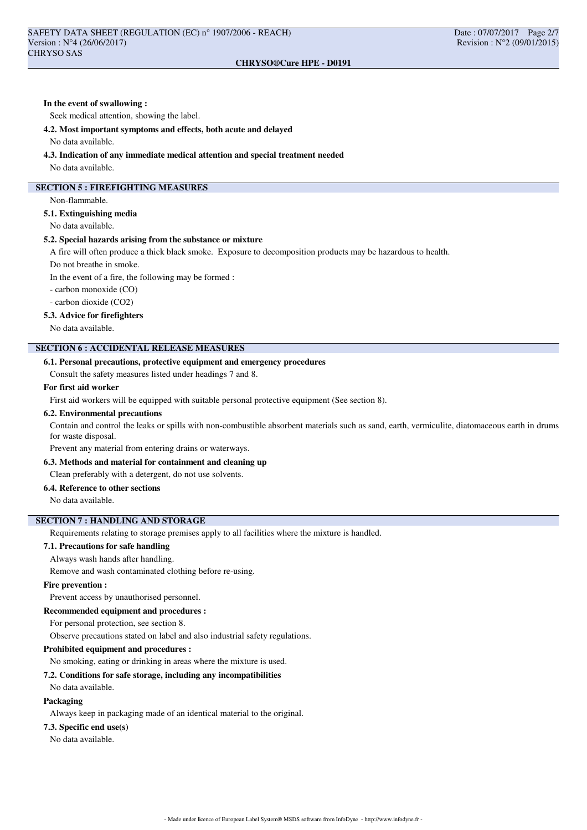## **In the event of swallowing :**

Seek medical attention, showing the label.

### **4.2. Most important symptoms and effects, both acute and delayed**

No data available.

### **4.3. Indication of any immediate medical attention and special treatment needed**

No data available.

## **SECTION 5 : FIREFIGHTING MEASURES**

Non-flammable.

## **5.1. Extinguishing media**

No data available.

### **5.2. Special hazards arising from the substance or mixture**

A fire will often produce a thick black smoke. Exposure to decomposition products may be hazardous to health.

Do not breathe in smoke.

In the event of a fire, the following may be formed :

- carbon monoxide (CO)

- carbon dioxide (CO2)

### **5.3. Advice for firefighters**

No data available.

## **SECTION 6 : ACCIDENTAL RELEASE MEASURES**

## **6.1. Personal precautions, protective equipment and emergency procedures**

Consult the safety measures listed under headings 7 and 8.

### **For first aid worker**

First aid workers will be equipped with suitable personal protective equipment (See section 8).

### **6.2. Environmental precautions**

Contain and control the leaks or spills with non-combustible absorbent materials such as sand, earth, vermiculite, diatomaceous earth in drums for waste disposal.

Prevent any material from entering drains or waterways.

# **6.3. Methods and material for containment and cleaning up**

Clean preferably with a detergent, do not use solvents.

## **6.4. Reference to other sections**

No data available.

### **SECTION 7 : HANDLING AND STORAGE**

Requirements relating to storage premises apply to all facilities where the mixture is handled.

### **7.1. Precautions for safe handling**

Always wash hands after handling.

Remove and wash contaminated clothing before re-using.

### **Fire prevention :**

Prevent access by unauthorised personnel.

### **Recommended equipment and procedures :**

For personal protection, see section 8.

Observe precautions stated on label and also industrial safety regulations.

### **Prohibited equipment and procedures :**

No smoking, eating or drinking in areas where the mixture is used.

### **7.2. Conditions for safe storage, including any incompatibilities**

### No data available.

**Packaging**

Always keep in packaging made of an identical material to the original.

## **7.3. Specific end use(s)**

No data available.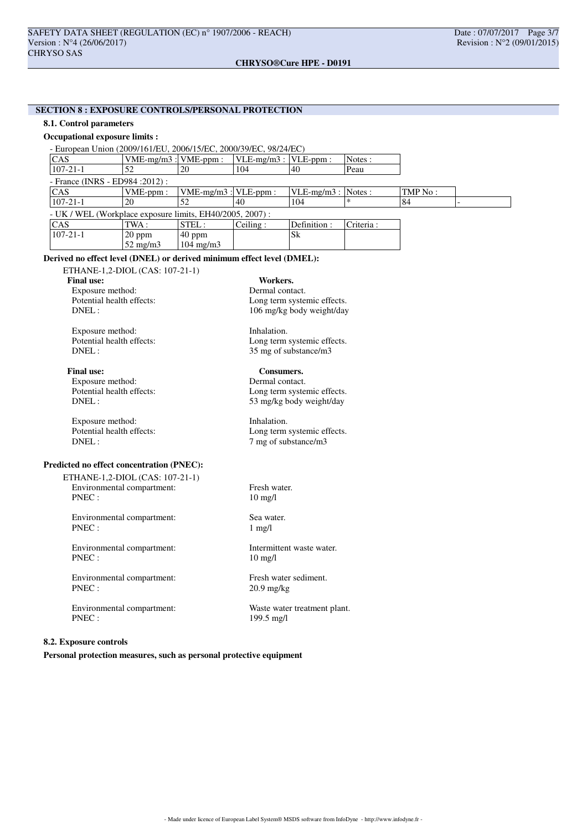# **SECTION 8 : EXPOSURE CONTROLS/PERSONAL PROTECTION**

## **8.1. Control parameters**

### **Occupational exposure limits :**

| - European Union (2009/161/EU, 2006/15/EC, 2000/39/EC, 98/24/EC) |                           |                           |                               |                       |           |         |  |
|------------------------------------------------------------------|---------------------------|---------------------------|-------------------------------|-----------------------|-----------|---------|--|
| <sub>CAS</sub>                                                   | $VME-mg/m3$ : $VME-ppm$ : |                           | $ VLE-mg/m3 $ : $ VLE-ppm $ : |                       | Notes:    |         |  |
| $ 107-21-1 $                                                     | 52                        | 20                        | 104                           | 40                    | Peau      |         |  |
| - France (INRS - ED984 : 2012) :                                 |                           |                           |                               |                       |           |         |  |
| <sub>CAS</sub>                                                   | $VME-ppm$ :               | $VME-mg/m3$ : $VLE-ppm$ : |                               | $VLE-mg/m3$ : Notes : |           | TMP No: |  |
| $107 - 21 - 1$                                                   | 20                        | 52                        | 40                            | 104                   |           | 84      |  |
| - UK / WEL (Workplace exposure limits, EH40/2005, 2007):         |                           |                           |                               |                       |           |         |  |
| <sub>CAS</sub>                                                   | TWA :                     | $ \text{STEL}:$           | Ceiling:                      | Definition:           | Criteria: |         |  |
| $107 - 21 - 1$                                                   | $20$ ppm                  | $ 40$ ppm                 |                               | Sk                    |           |         |  |
|                                                                  | $52 \text{ mg/m}$         | $104 \text{ mg/m}$        |                               |                       |           |         |  |

## **Derived no effect level (DNEL) or derived minimum effect level (DMEL):**

ETHANE-1,2-DIOL (CAS: 107-21-1)

Exposure method:<br>Potential health effects:

Exposure method: Inhalation.<br>
Potential health effects: Long term<br>
Long term

Final use: Consumers.<br>
Exposure method: Consumers.<br>
Dermal contact. Exposure method:<br>Potential health effects:

Exposure method: Inhalation.

## **Predicted no effect concentration (PNEC):**

ETHANE-1,2-DIOL (CAS: 107-21-1) Environmental compartment: Fresh water. PNEC : 10 mg/l

Environmental compartment: Sea water. PNEC : 1 mg/l

Environmental compartment: Intermittent waste water. PNEC : 10 mg/l

Environmental compartment: Fresh water sediment. PNEC : 20.9 mg/kg

Environmental compartment: Waste water treatment plant.<br>PNEC: 199.5 mg/l

## **8.2. Exposure controls**

**Personal protection measures, such as personal protective equipment**

**Final use:** Workers. Workers. **Exposure method:** Dermal contact. Potential health effects:<br>
DNEL:<br>
106 mg/kg body weight/day 106 mg/kg body weight/day

Potential health effects:<br>
DNEL:<br>  $35 \text{ mg of substance/m3}$ 35 mg of substance/m3

Potential health effects:<br>
DNEL:<br>
53 mg/kg body weight/day 53 mg/kg body weight/day

Potential health effects:<br>
DNFI:  $\frac{7 \text{ m of substance/m3}}{2 \text{ m of substance/m3}}$ 7 mg of substance/m3

199.5 mg/l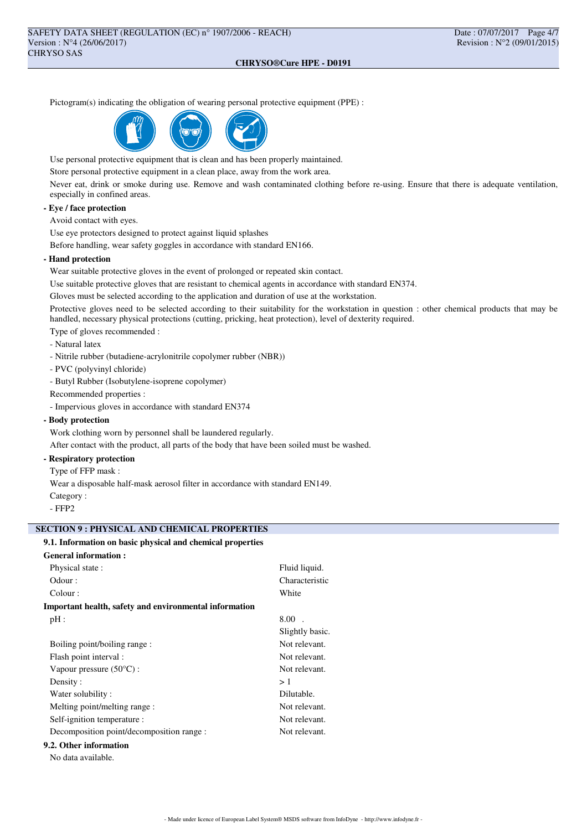Pictogram(s) indicating the obligation of wearing personal protective equipment (PPE) :



Use personal protective equipment that is clean and has been properly maintained.

Store personal protective equipment in a clean place, away from the work area.

Never eat, drink or smoke during use. Remove and wash contaminated clothing before re-using. Ensure that there is adequate ventilation, especially in confined areas.

### **- Eye / face protection**

Avoid contact with eyes.

Use eye protectors designed to protect against liquid splashes

Before handling, wear safety goggles in accordance with standard EN166.

### **- Hand protection**

Wear suitable protective gloves in the event of prolonged or repeated skin contact.

Use suitable protective gloves that are resistant to chemical agents in accordance with standard EN374.

Gloves must be selected according to the application and duration of use at the workstation.

Protective gloves need to be selected according to their suitability for the workstation in question : other chemical products that may be handled, necessary physical protections (cutting, pricking, heat protection), level of dexterity required.

> Fluid liquid. Characteristic

Type of gloves recommended :

- Natural latex
- Nitrile rubber (butadiene-acrylonitrile copolymer rubber (NBR))
- PVC (polyvinyl chloride)
- Butyl Rubber (Isobutylene-isoprene copolymer)
- Recommended properties :
- Impervious gloves in accordance with standard EN374

### **- Body protection**

Work clothing worn by personnel shall be laundered regularly.

After contact with the product, all parts of the body that have been soiled must be washed.

# **- Respiratory protection**

Type of FFP mask :

Wear a disposable half-mask aerosol filter in accordance with standard EN149.

Category :

- FFP2

### **SECTION 9 : PHYSICAL AND CHEMICAL PROPERTIES**

## **9.1. Information on basic physical and chemical properties**

| <b>General information:</b> |                    |
|-----------------------------|--------------------|
| Physical state:             | Fluid <sup>1</sup> |
| Odour :                     | Chara              |
| Colour :                    | White              |

**Important health, safety and environmental information**  $pH: 8.00$ .

|                                           | Slightly basic. |
|-------------------------------------------|-----------------|
| Boiling point/boiling range:              | Not relevant.   |
| Flash point interval :                    | Not relevant.   |
| Vapour pressure $(50^{\circ}C)$ :         | Not relevant.   |
| Density:                                  | >1              |
| Water solubility:                         | Dilutable.      |
| Melting point/melting range:              | Not relevant.   |
| Self-ignition temperature :               | Not relevant.   |
| Decomposition point/decomposition range : | Not relevant.   |
|                                           |                 |

## **9.2. Other information**

No data available.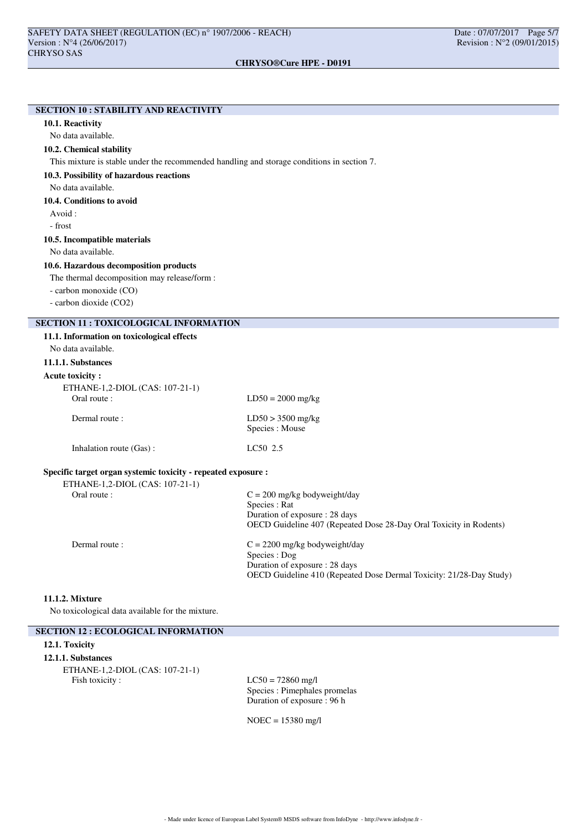# **SECTION 10 : STABILITY AND REACTIVITY 10.1. Reactivity** No data available. **10.2. Chemical stability** This mixture is stable under the recommended handling and storage conditions in section 7. **10.3. Possibility of hazardous reactions** No data available. **10.4. Conditions to avoid** Avoid : - frost **10.5. Incompatible materials** No data available. **10.6. Hazardous decomposition products** The thermal decomposition may release/form : - carbon monoxide (CO) - carbon dioxide (CO2) **SECTION 11 : TOXICOLOGICAL INFORMATION 11.1. Information on toxicological effects** No data available. **11.1.1. Substances Acute toxicity :** ETHANE-1,2-DIOL (CAS: 107-21-1)  $LD50 = 2000$  mg/kg Dermal route : LD50 > 3500 mg/kg Species : Mouse Inhalation route (Gas) : LC50 2.5 **Specific target organ systemic toxicity - repeated exposure :** ETHANE-1,2-DIOL (CAS: 107-21-1) Oral route :  $C = 200$  mg/kg bodyweight/day Species : Rat Duration of exposure : 28 days OECD Guideline 407 (Repeated Dose 28-Day Oral Toxicity in Rodents) Dermal route :  $C = 2200$  mg/kg bodyweight/day Species : Dog Duration of exposure : 28 days OECD Guideline 410 (Repeated Dose Dermal Toxicity: 21/28-Day Study) **11.1.2. Mixture**

No toxicological data available for the mixture.

## **SECTION 12 : ECOLOGICAL INFORMATION**

### **12.1. Toxicity**

### **12.1.1. Substances**

ETHANE-1,2-DIOL (CAS: 107-21-1) Fish toxicity :  $LC50 = 72860$  mg/l

Species : Pimephales promelas Duration of exposure : 96 h

NOEC = 15380 mg/l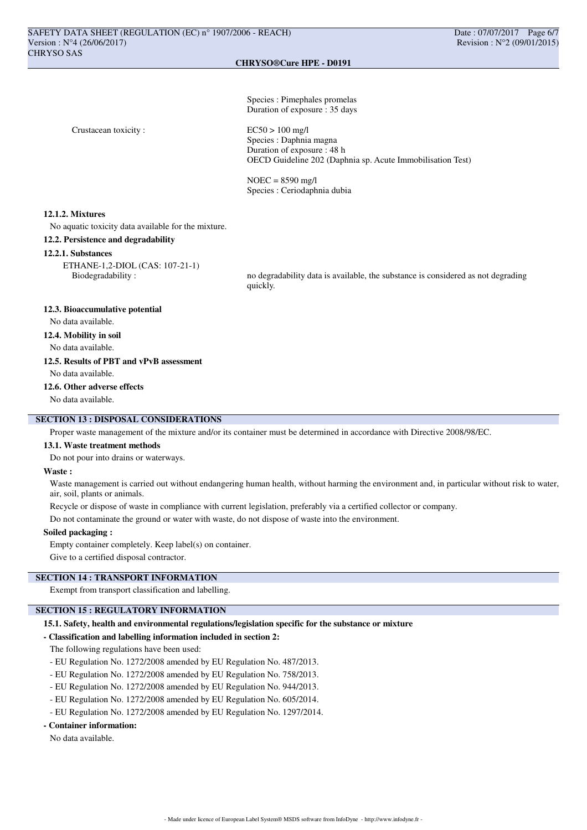Species : Pimephales promelas Duration of exposure : 35 days

Crustacean toxicity : EC50 > 100 mg/l

Species : Daphnia magna Duration of exposure : 48 h OECD Guideline 202 (Daphnia sp. Acute Immobilisation Test)

NOEC = 8590 mg/l Species : Ceriodaphnia dubia

### **12.1.2. Mixtures**

No aquatic toxicity data available for the mixture.

### **12.2. Persistence and degradability**

### **12.2.1. Substances**

ETHANE-1,2-DIOL (CAS: 107-21-1)

Biodegradability : no degradability data is available, the substance is considered as not degrading quickly.

### **12.3. Bioaccumulative potential**

No data available.

### **12.4. Mobility in soil**

No data available.

## **12.5. Results of PBT and vPvB assessment**

No data available.

### **12.6. Other adverse effects**

No data available.

## **SECTION 13 : DISPOSAL CONSIDERATIONS**

Proper waste management of the mixture and/or its container must be determined in accordance with Directive 2008/98/EC.

### **13.1. Waste treatment methods**

Do not pour into drains or waterways.

### **Waste :**

Waste management is carried out without endangering human health, without harming the environment and, in particular without risk to water, air, soil, plants or animals.

Recycle or dispose of waste in compliance with current legislation, preferably via a certified collector or company.

Do not contaminate the ground or water with waste, do not dispose of waste into the environment.

## **Soiled packaging :**

Empty container completely. Keep label(s) on container.

Give to a certified disposal contractor.

# **SECTION 14 : TRANSPORT INFORMATION**

Exempt from transport classification and labelling.

## **SECTION 15 : REGULATORY INFORMATION**

### **15.1. Safety, health and environmental regulations/legislation specific for the substance or mixture**

### **- Classification and labelling information included in section 2:**

The following regulations have been used:

- EU Regulation No. 1272/2008 amended by EU Regulation No. 487/2013.
- EU Regulation No. 1272/2008 amended by EU Regulation No. 758/2013.
- EU Regulation No. 1272/2008 amended by EU Regulation No. 944/2013.
- EU Regulation No. 1272/2008 amended by EU Regulation No. 605/2014.
- EU Regulation No. 1272/2008 amended by EU Regulation No. 1297/2014.

### **- Container information:**

No data available.